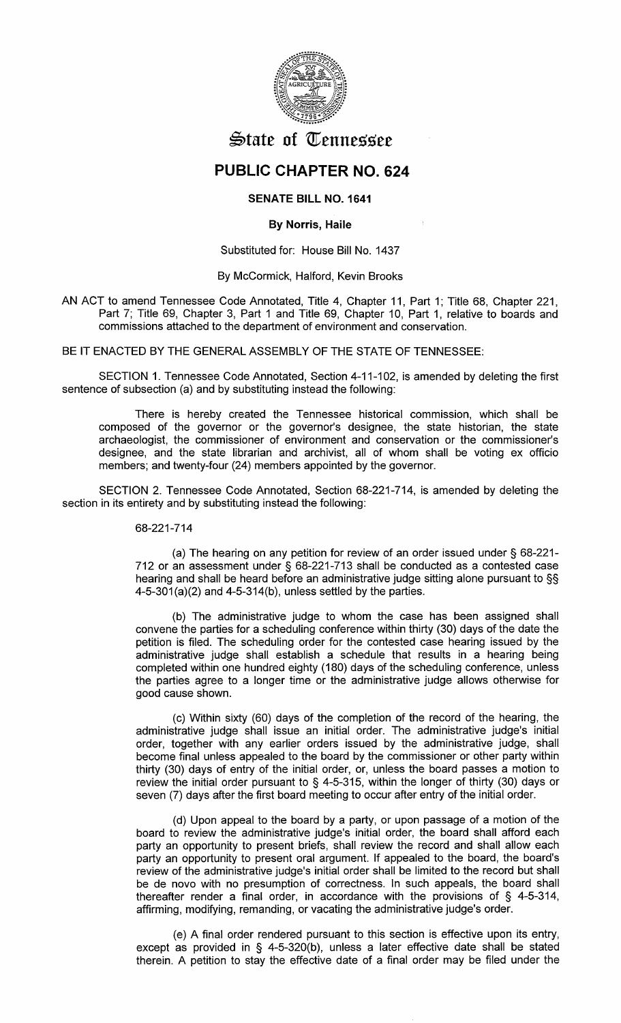

# $\triangle$ tate of Tennessee

## **PUBLIC CHAPTER NO. 624**

## SENATE BILL NO. 1641

## By Norris, Haile

#### Substituted for: House Bill No. 1437

#### By McCormick, Halford, Kevin Brooks

AN ACT to amend Tennessee Code Annotated, Title 4, Chapter 11, Part 1; Title 68, Chapter 221, Part 7; Title 69, Chapter 3, Part 1 and Title 69, Chapter 10, Part 1, relative to boards and commissions attached to the department of environment and conservation.

BE IT ENACTED BY THE GENERAL ASSEMBLY OF THE STATE OF TENNESSEE:

SECTION 1. Tennessee Code Annotated, Section 4-11-102, is amended by deleting the first sentence of subsection (a) and by substituting instead the following:

There is hereby created the Tennessee historical commission, which shall be composed of the governor or the governor's designee, the state historian, the state archaeologist, the commissioner of environment and conservation or the commissioner's designee, and the state librarian and archivist, all of whom shall be voting ex officio members; and twenty-four (24) members appointed by the governor.

SECTION 2. Tennessee Code Annotated, Section 68-221-714, is amended by deleting the section in its entirety and by substituting instead the following:

## 68-221-714

(a) The hearing on any petition for review of an order issued under§ 68-221- 712 or an assessment under§ 68-221-713 shall be conducted as a contested case hearing and shall be heard before an administrative judge sitting alone pursuant to §§  $4-5-301(a)(2)$  and  $4-5-314(b)$ , unless settled by the parties.

(b) The administrative judge to whom the case has been assigned shall convene the parties for a scheduling conference within thirty (30) days of the date the petition is filed. The scheduling order for the contested case hearing issued by the administrative judge shall establish a schedule that results in a hearing being completed within one hundred eighty (180) days of the scheduling conference, unless the parties agree to a longer time or the administrative judge allows otherwise for good cause shown.

(c) Within sixty (60) days of the completion of the record of the hearing, the administrative judge shall issue an initial order. The administrative judge's initial order, together with any earlier orders issued by the administrative judge, shall become final unless appealed to the board by the commissioner or other party within thirty (30) days of entry of the initial order, or, unless the board passes a motion to review the initial order pursuant to § 4-5-315, within the longer of thirty (30) days or seven (7) days after the first board meeting to occur after entry of the initial order.

(d) Upon appeal to the board by a party, or upon passage of a motion of the board to review the administrative judge's initial order, the board shall afford each party an opportunity to present briefs, shall review the record and shall allow each party an opportunity to present oral argument. If appealed to the board, the board's review of the administrative judge's initial order shall be limited to the record but shall be de novo with no presumption of correctness. In such appeals, the board shall thereafter render a final order, in accordance with the provisions of § 4-5-314, affirming, modifying, remanding, or vacating the administrative judge's order.

(e) A final order rendered pursuant to this section is effective upon its entry, except as provided in § 4-5-320(b), unless a later effective date shall be stated therein. A petition to stay the effective date of a final order may be filed under the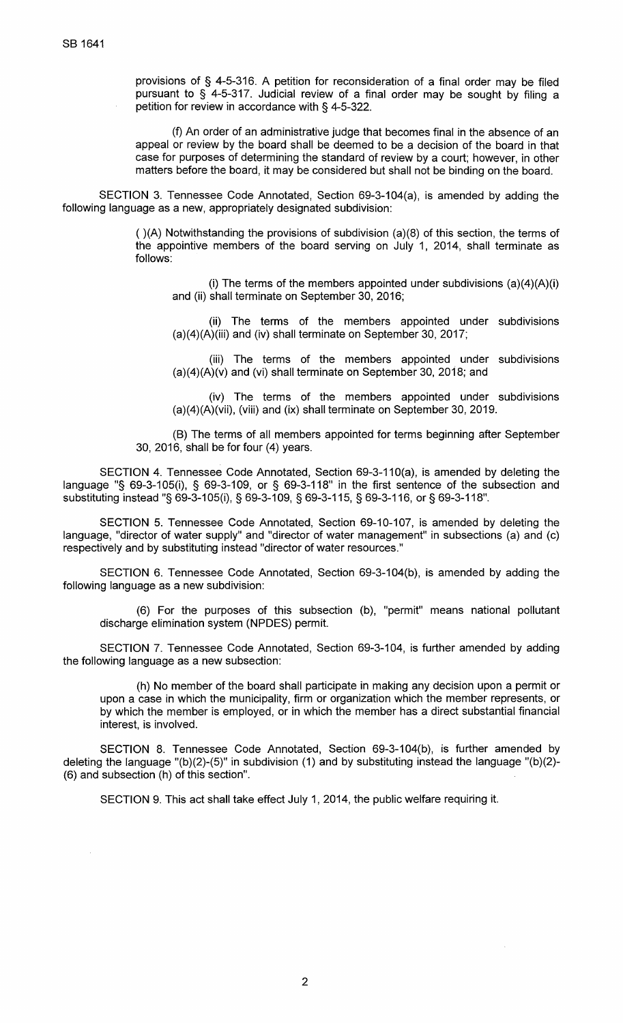provisions of § 4-5-316. A petition for reconsideration of a final order may be filed pursuant to § 4-5-317. Judicial review of a final order may be sought by filing a petition for review in accordance with § 4-5-322.

(f) An order of an administrative judge that becomes final in the absence of an appeal or review by the board shall be deemed to be a decision of the board in that case for purposes of determining the standard of review by a court; however, in other matters before the board, it may be considered but shall not be binding on the board.

SECTION 3. Tennessee Code Annotated, Section 69-3-104(a), is amended by adding the following language as a new, appropriately designated subdivision:

> ( )(A) Notwithstanding the provisions of subdivision (a)(8) of this section, the terms of the appointive members of the board serving on July 1, 2014, shall terminate as follows:

(i) The terms of the members appointed under subdivisions  $(a)(4)(A)(i)$ and (ii) shall terminate on September 30, 2016;

(ii) The terms of the members appointed under subdivisions (a)(4)(A)(iii) and (iv) shall terminate on September 30, 2017;

(iii) The terms of the members appointed under subdivisions (a)(4)(A)(v) and (vi) shall terminate on September 30, 2018; and

(iv) The terms of the members appointed under subdivisions (a)(4)(A)(vii), (viii) and (ix) shall terminate on September 30, 2019.

(B) The terms of all members appointed for terms beginning after September 30, 2016, shall be for four (4) years.

SECTION 4. Tennessee Code Annotated, Section 69-3-110(a), is amended by deleting the language "§ 69-3-105(i), § 69-3-109, or § 69-3-118" in the first sentence of the subsection and substituting instead "§ 69-3-1 05(i), § 69-3-109, § 69-3-115, § 69-3-116, or§ 69-3-118".

SECTION 5. Tennessee Code Annotated, Section 69-10-107, is amended by deleting the language, "director of water supply" and "director of water management" in subsections (a) and (c) respectively and by substituting instead "director of water resources."

SECTION 6. Tennessee Code Annotated, Section 69-3-104(b), is amended by adding the following language as a new subdivision:

(6) For the purposes of this subsection (b), "permit" means national pollutant discharge elimination system (NPDES) permit.

SECTION 7. Tennessee Code Annotated, Section 69-3-104, is further amended by adding the following language as a new subsection:

(h) No member of the board shall participate in making any decision upon a permit or upon a case in which the municipality, firm or organization which the member represents, or by which the member is employed, or in which the member has a direct substantial financial interest, is involved.

SECTION 8. Tennessee Code Annotated, Section 69-3-104(b), is further amended by deleting the language "(b)(2)-(5)" in subdivision (1) and by substituting instead the language "(b)(2)- (6) and subsection (h) of this section".

SECTION 9. This act shall take effect July 1, 2014, the public welfare requiring it.